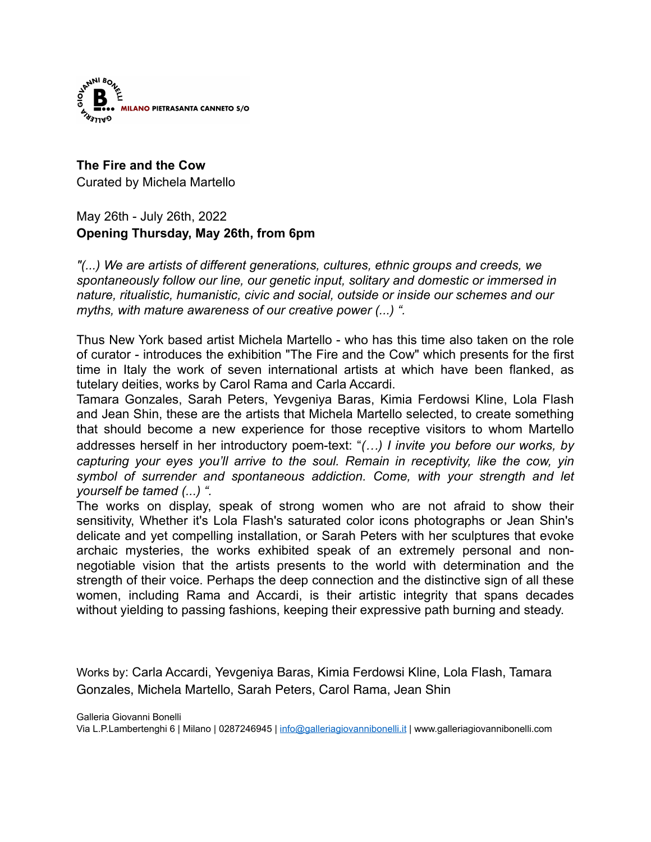

**The Fire and the Cow** Curated by Michela Martello

May 26th - July 26th, 2022 **Opening Thursday, May 26th, from 6pm** 

*"(...) We are artists of different generations, cultures, ethnic groups and creeds, we spontaneously follow our line, our genetic input, solitary and domestic or immersed in nature, ritualistic, humanistic, civic and social, outside or inside our schemes and our myths, with mature awareness of our creative power (...) ".*

Thus New York based artist Michela Martello - who has this time also taken on the role of curator - introduces the exhibition "The Fire and the Cow" which presents for the first time in Italy the work of seven international artists at which have been flanked, as tutelary deities, works by Carol Rama and Carla Accardi.

Tamara Gonzales, Sarah Peters, Yevgeniya Baras, Kimia Ferdowsi Kline, Lola Flash and Jean Shin, these are the artists that Michela Martello selected, to create something that should become a new experience for those receptive visitors to whom Martello addresses herself in her introductory poem-text: !*(…) I invite you before our works, by capturing your eyes you'll arrive to the soul. Remain in receptivity, like the cow, yin symbol of surrender and spontaneous addiction. Come, with your strength and let yourself be tamed (...) ".*

The works on display, speak of strong women who are not afraid to show their sensitivity, Whether it's Lola Flash's saturated color icons photographs or Jean Shin's delicate and yet compelling installation, or Sarah Peters with her sculptures that evoke archaic mysteries, the works exhibited speak of an extremely personal and nonnegotiable vision that the artists presents to the world with determination and the strength of their voice. Perhaps the deep connection and the distinctive sign of all these women, including Rama and Accardi, is their artistic integrity that spans decades without yielding to passing fashions, keeping their expressive path burning and steady.

Works by: Carla Accardi, Yevgeniya Baras, Kimia Ferdowsi Kline, Lola Flash, Tamara Gonzales, Michela Martello, Sarah Peters, Carol Rama, Jean Shin

Galleria Giovanni Bonelli Via L.P.Lambertenghi 6 | Milano | 0287246945 | [info@galleriagiovannibonelli.it](mailto:info@galleriagiovannibonelli.it) | www.galleriagiovannibonelli.com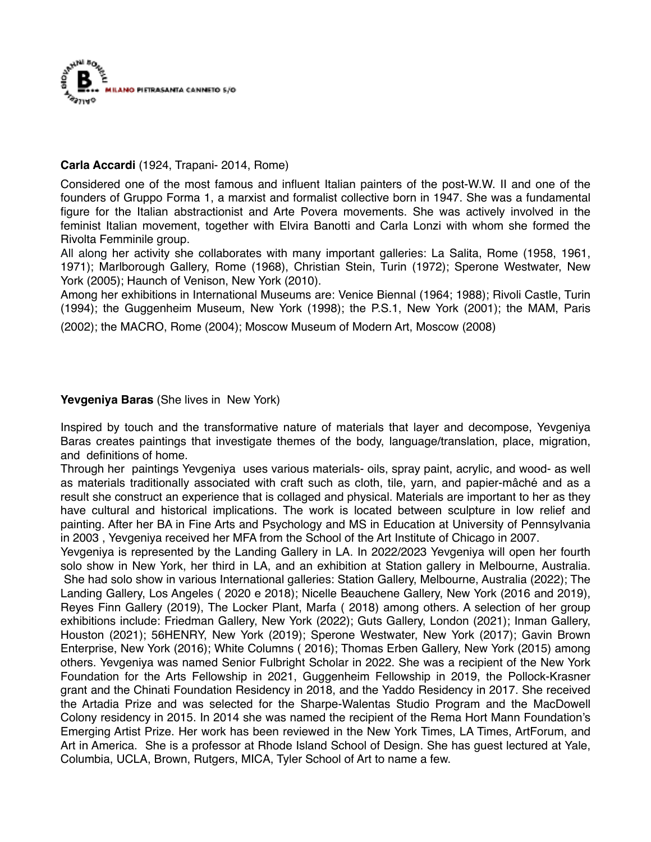

# **Carla Accardi** (1924, Trapani- 2014, Rome)

Considered one of the most famous and influent Italian painters of the post-W.W. II and one of the founders of Gruppo Forma 1, a marxist and formalist collective born in 1947. She was a fundamental figure for the Italian abstractionist and Arte Povera movements. She was actively involved in the feminist Italian movement, together with Elvira Banotti and Carla Lonzi with whom she formed the Rivolta Femminile group.

All along her activity she collaborates with many important galleries: La Salita, Rome (1958, 1961, 1971); Marlborough Gallery, Rome (1968), Christian Stein, Turin (1972); Sperone Westwater, New York (2005); Haunch of Venison, New York (2010).

Among her exhibitions in International Museums are: Venice Biennal (1964; 1988); Rivoli Castle, Turin (1994); the Guggenheim Museum, New York (1998); the P.S.1, New York (2001); the MAM, Paris

(2002); the MACRO, Rome (2004); Moscow Museum of Modern Art, Moscow (2008)

## **Yevgeniya Baras** (She lives in New York)

Inspired by touch and the transformative nature of materials that layer and decompose, Yevgeniya Baras creates paintings that investigate themes of the body, language/translation, place, migration, and definitions of home.

Through her paintings Yevgeniya uses various materials- oils, spray paint, acrylic, and wood- as well as materials traditionally associated with craft such as cloth, tile, yarn, and papier-mâché and as a result she construct an experience that is collaged and physical. Materials are important to her as they have cultural and historical implications. The work is located between sculpture in low relief and painting. After her BA in Fine Arts and Psychology and MS in Education at University of Pennsylvania in 2003 , Yevgeniya received her MFA from the School of the Art Institute of Chicago in 2007.

Yevgeniya is represented by the Landing Gallery in LA. In 2022/2023 Yevgeniya will open her fourth solo show in New York, her third in LA, and an exhibition at Station gallery in Melbourne, Australia. She had solo show in various International galleries: Station Gallery, Melbourne, Australia (2022); The Landing Gallery, Los Angeles ( 2020 e 2018); Nicelle Beauchene Gallery, New York (2016 and 2019), Reyes Finn Gallery (2019), The Locker Plant, Marfa ( 2018) among others. A selection of her group exhibitions include: Friedman Gallery, New York (2022); Guts Gallery, London (2021); Inman Gallery, Houston (2021); 56HENRY, New York (2019); Sperone Westwater, New York (2017); Gavin Brown Enterprise, New York (2016); White Columns ( 2016); Thomas Erben Gallery, New York (2015) among others. Yevgeniya was named Senior Fulbright Scholar in 2022. She was a recipient of the New York Foundation for the Arts Fellowship in 2021, Guggenheim Fellowship in 2019, the Pollock-Krasner grant and the Chinati Foundation Residency in 2018, and the Yaddo Residency in 2017. She received the Artadia Prize and was selected for the Sharpe-Walentas Studio Program and the MacDowell Colony residency in 2015. In 2014 she was named the recipient of the Rema Hort Mann Foundation's Emerging Artist Prize. Her work has been reviewed in the New York Times, LA Times, ArtForum, and Art in America. She is a professor at Rhode Island School of Design. She has guest lectured at Yale, Columbia, UCLA, Brown, Rutgers, MICA, Tyler School of Art to name a few.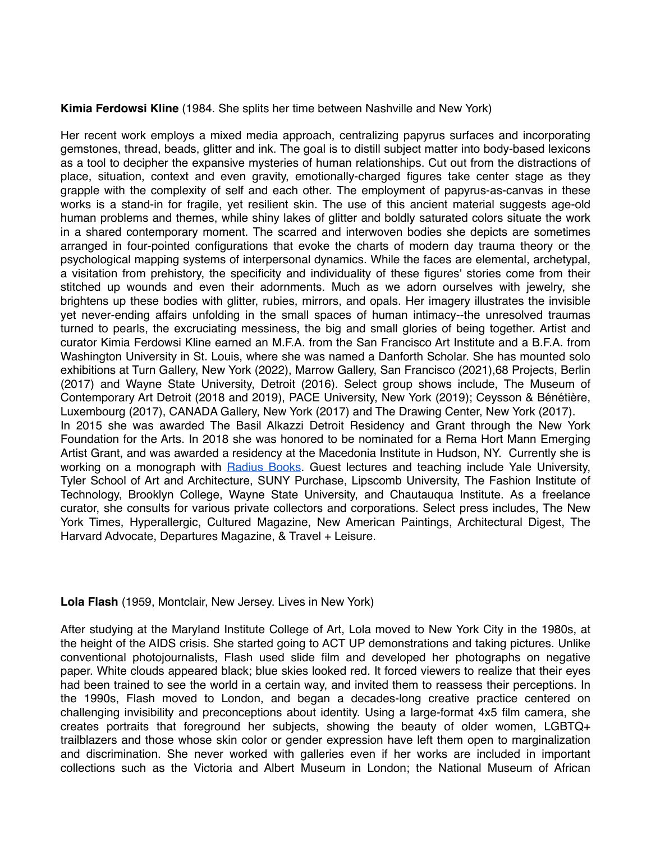### **Kimia Ferdowsi Kline** (1984. She splits her time between Nashville and New York)

Her recent work employs a mixed media approach, centralizing papyrus surfaces and incorporating gemstones, thread, beads, glitter and ink. The goal is to distill subject matter into body-based lexicons as a tool to decipher the expansive mysteries of human relationships. Cut out from the distractions of place, situation, context and even gravity, emotionally-charged figures take center stage as they grapple with the complexity of self and each other. The employment of papyrus-as-canvas in these works is a stand-in for fragile, yet resilient skin. The use of this ancient material suggests age-old human problems and themes, while shiny lakes of glitter and boldly saturated colors situate the work in a shared contemporary moment. The scarred and interwoven bodies she depicts are sometimes arranged in four-pointed configurations that evoke the charts of modern day trauma theory or the psychological mapping systems of interpersonal dynamics. While the faces are elemental, archetypal, a visitation from prehistory, the specificity and individuality of these figures' stories come from their stitched up wounds and even their adornments. Much as we adorn ourselves with jewelry, she brightens up these bodies with glitter, rubies, mirrors, and opals. Her imagery illustrates the invisible yet never-ending affairs unfolding in the small spaces of human intimacy--the unresolved traumas turned to pearls, the excruciating messiness, the big and small glories of being together. Artist and curator Kimia Ferdowsi Kline earned an M.F.A. from the San Francisco Art Institute and a B.F.A. from Washington University in St. Louis, where she was named a Danforth Scholar. She has mounted solo exhibitions at Turn Gallery, New York (2022), Marrow Gallery, San Francisco (2021),68 Projects, Berlin (2017) and Wayne State University, Detroit (2016). Select group shows include, The Museum of Contemporary Art Detroit (2018 and 2019), PACE University, New York (2019); Ceysson & Bénétière, Luxembourg (2017), CANADA Gallery, New York (2017) and The Drawing Center, New York (2017). In 2015 she was awarded The Basil Alkazzi Detroit Residency and Grant through the New York Foundation for the Arts. In 2018 she was honored to be nominated for a Rema Hort Mann Emerging Artist Grant, and was awarded a residency at the Macedonia Institute in Hudson, NY. Currently she is working on a monograph with [Radius Books](https://www.radiusbooks.org/). Guest lectures and teaching include Yale University, Tyler School of Art and Architecture, SUNY Purchase, Lipscomb University, The Fashion Institute of Technology, Brooklyn College, Wayne State University, and Chautauqua Institute. As a freelance curator, she consults for various private collectors and corporations. Select press includes, The New York Times, Hyperallergic, Cultured Magazine, New American Paintings, Architectural Digest, The Harvard Advocate, Departures Magazine, & Travel + Leisure.

#### **Lola Flash** (1959, Montclair, New Jersey. Lives in New York)

After studying at the Maryland Institute College of Art, Lola moved to New York City in the 1980s, at the height of the AIDS crisis. She started going to ACT UP demonstrations and taking pictures. Unlike conventional photojournalists, Flash used slide film and developed her photographs on negative paper. White clouds appeared black; blue skies looked red. It forced viewers to realize that their eyes had been trained to see the world in a certain way, and invited them to reassess their perceptions. In the 1990s, Flash moved to London, and began a decades-long creative practice centered on challenging invisibility and preconceptions about identity. Using a large-format 4x5 film camera, she creates portraits that foreground her subjects, showing the beauty of older women, LGBTQ+ trailblazers and those whose skin color or gender expression have left them open to marginalization and discrimination. She never worked with galleries even if her works are included in important collections such as the Victoria and Albert Museum in London; the National Museum of African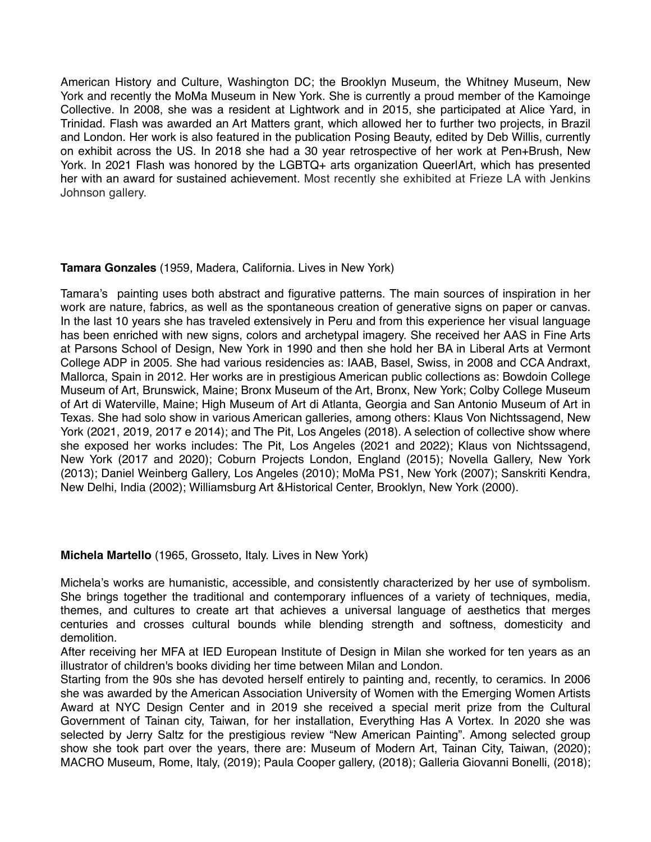American History and Culture, Washington DC; the Brooklyn Museum, the Whitney Museum, New York and recently the MoMa Museum in New York. She is currently a proud member of the Kamoinge Collective. In 2008, she was a resident at Lightwork and in 2015, she participated at Alice Yard, in Trinidad. Flash was awarded an Art Matters grant, which allowed her to further two projects, in Brazil and London. Her work is also featured in the publication Posing Beauty, edited by Deb Willis, currently on exhibit across the US. In 2018 she had a 30 year retrospective of her work at Pen+Brush, New York. In 2021 Flash was honored by the LGBTQ+ arts organization QueerlArt, which has presented her with an award for sustained achievement. Most recently she exhibited at Frieze LA with Jenkins Johnson gallery.

## **Tamara Gonzales** (1959, Madera, California. Lives in New York)

Tamara's painting uses both abstract and figurative patterns. The main sources of inspiration in her work are nature, fabrics, as well as the spontaneous creation of generative signs on paper or canvas. In the last 10 years she has traveled extensively in Peru and from this experience her visual language has been enriched with new signs, colors and archetypal imagery. She received her AAS in Fine Arts at Parsons School of Design, New York in 1990 and then she hold her BA in Liberal Arts at Vermont College ADP in 2005. She had various residencies as: IAAB, Basel, Swiss, in 2008 and CCA Andraxt, Mallorca, Spain in 2012. Her works are in prestigious American public collections as: Bowdoin College Museum of Art, Brunswick, Maine; Bronx Museum of the Art, Bronx, New York; Colby College Museum of Art di Waterville, Maine; High Museum of Art di Atlanta, Georgia and San Antonio Museum of Art in Texas. She had solo show in various American galleries, among others: Klaus Von Nichtssagend, New York (2021, 2019, 2017 e 2014); and The Pit, Los Angeles (2018). A selection of collective show where she exposed her works includes: The Pit, Los Angeles (2021 and 2022); Klaus von Nichtssagend, New York (2017 and 2020); Coburn Projects London, England (2015); Novella Gallery, New York (2013); Daniel Weinberg Gallery, Los Angeles (2010); MoMa PS1, New York (2007); Sanskriti Kendra, New Delhi, India (2002); Williamsburg Art &Historical Center, Brooklyn, New York (2000).

#### **Michela Martello** (1965, Grosseto, Italy. Lives in New York)

Michela's works are humanistic, accessible, and consistently characterized by her use of symbolism. She brings together the traditional and contemporary influences of a variety of techniques, media, themes, and cultures to create art that achieves a universal language of aesthetics that merges centuries and crosses cultural bounds while blending strength and softness, domesticity and demolition.

After receiving her MFA at IED European Institute of Design in Milan she worked for ten years as an illustrator of children's books dividing her time between Milan and London.

Starting from the 90s she has devoted herself entirely to painting and, recently, to ceramics. In 2006 she was awarded by the American Association University of Women with the Emerging Women Artists Award at NYC Design Center and in 2019 she received a special merit prize from the Cultural Government of Tainan city, Taiwan, for her installation, Everything Has A Vortex. In 2020 she was selected by Jerry Saltz for the prestigious review "New American Painting". Among selected group show she took part over the years, there are: Museum of Modern Art, Tainan City, Taiwan, (2020); MACRO Museum, Rome, Italy, (2019); Paula Cooper gallery, (2018); Galleria Giovanni Bonelli, (2018);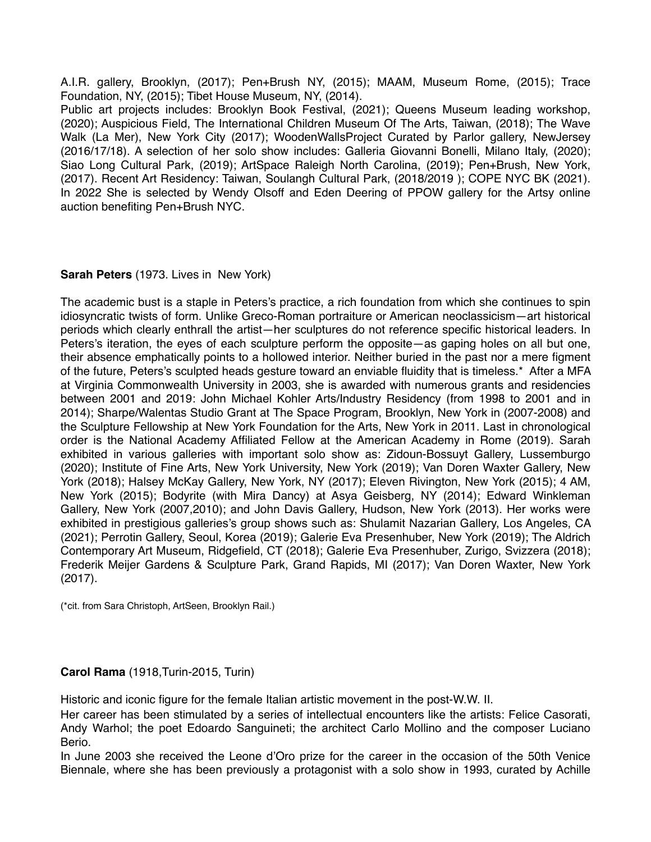A.I.R. gallery, Brooklyn, (2017); Pen+Brush NY, (2015); MAAM, Museum Rome, (2015); Trace Foundation, NY, (2015); Tibet House Museum, NY, (2014).

Public art projects includes: Brooklyn Book Festival, (2021); Queens Museum leading workshop, (2020); Auspicious Field, The International Children Museum Of The Arts, Taiwan, (2018); The Wave Walk (La Mer), New York City (2017); WoodenWallsProject Curated by Parlor gallery, NewJersey (2016/17/18). A selection of her solo show includes: Galleria Giovanni Bonelli, Milano Italy, (2020); Siao Long Cultural Park, (2019); ArtSpace Raleigh North Carolina, (2019); Pen+Brush, New York, (2017). Recent Art Residency: Taiwan, Soulangh Cultural Park, (2018/2019 ); COPE NYC BK (2021). In 2022 She is selected by Wendy Olsoff and Eden Deering of PPOW gallery for the Artsy online auction benefiting Pen+Brush NYC.

### **Sarah Peters** (1973. Lives in New York)

The academic bust is a staple in Peters's practice, a rich foundation from which she continues to spin idiosyncratic twists of form. Unlike Greco-Roman portraiture or American neoclassicism—art historical periods which clearly enthrall the artist—her sculptures do not reference specific historical leaders. In Peters's iteration, the eyes of each sculpture perform the opposite—as gaping holes on all but one, their absence emphatically points to a hollowed interior. Neither buried in the past nor a mere figment of the future, Peters's sculpted heads gesture toward an enviable fluidity that is timeless.\* After a MFA at Virginia Commonwealth University in 2003, she is awarded with numerous grants and residencies between 2001 and 2019: John Michael Kohler Arts/Industry Residency (from 1998 to 2001 and in 2014); Sharpe/Walentas Studio Grant at The Space Program, Brooklyn, New York in (2007-2008) and the Sculpture Fellowship at New York Foundation for the Arts, New York in 2011. Last in chronological order is the National Academy Affiliated Fellow at the American Academy in Rome (2019). Sarah exhibited in various galleries with important solo show as: Zidoun-Bossuyt Gallery, Lussemburgo (2020); Institute of Fine Arts, New York University, New York (2019); Van Doren Waxter Gallery, New York (2018); Halsey McKay Gallery, New York, NY (2017); Eleven Rivington, New York (2015); 4 AM, New York (2015); Bodyrite (with Mira Dancy) at Asya Geisberg, NY (2014); Edward Winkleman Gallery, New York (2007,2010); and John Davis Gallery, Hudson, New York (2013). Her works were exhibited in prestigious galleries's group shows such as: Shulamit Nazarian Gallery, Los Angeles, CA (2021); Perrotin Gallery, Seoul, Korea (2019); Galerie Eva Presenhuber, New York (2019); The Aldrich Contemporary Art Museum, Ridgefield, CT (2018); Galerie Eva Presenhuber, Zurigo, Svizzera (2018); Frederik Meijer Gardens & Sculpture Park, Grand Rapids, MI (2017); Van Doren Waxter, New York (2017).

(\*cit. from Sara Christoph, ArtSeen, Brooklyn Rail.)

## **Carol Rama** (1918,Turin-2015, Turin)

Historic and iconic figure for the female Italian artistic movement in the post-W.W. II.

Her career has been stimulated by a series of intellectual encounters like the artists: Felice Casorati, Andy Warhol; the poet Edoardo Sanguineti; the architect Carlo Mollino and the composer Luciano Berio.

In June 2003 she received the Leone d'Oro prize for the career in the occasion of the 50th Venice Biennale, where she has been previously a protagonist with a solo show in 1993, curated by Achille